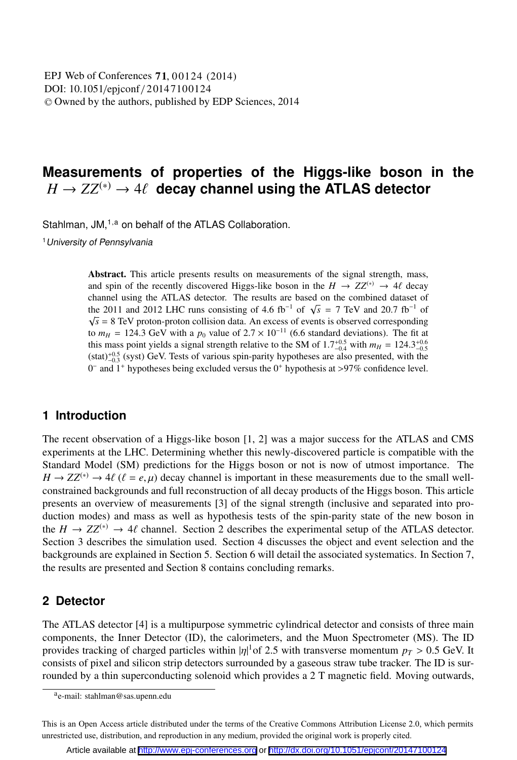# **Measurements of properties of the Higgs-like boson in the**  $H \to ZZ^{(*)} \to 4\ell$  decay channel using the ATLAS detector

Stahlman, JM,<sup>1,a</sup> on behalf of the ATLAS Collaboration.

<sup>1</sup> University of Pennsylvania

Abstract. This article presents results on measurements of the signal strength, mass, and spin of the recently discovered Higgs-like boson in the  $H \to ZZ^{(*)} \to 4\ell$  decay<br>channel using the ATLAS detector. The results are based on the combined dataset of channel using the ATLAS detector. The results are based on the combined dataset of the 2011 and 2012 LHC runs consisting of 4.6 fb<sup>-1</sup> of  $\sqrt{s}$  = 7 TeV and 20.7 fb<sup>-1</sup> of  $\sqrt{s}$  = 8 TeV proton-proton collision data. An excess of events is observed corresponding to  $m_H$  = 124.3 GeV with a  $p_0$  value of 2.7 × 10<sup>-11</sup> (6.6 standard deviations). The fit at this mass point yields a signal strength relative to the SM of  $1.7^{+0.5}_{-0.4}$  with  $m_H = 124.3^{+0.6}_{-0.5}$ <br>  $\epsilon$ <sub>1</sub> (stat)<sup>+0.5</sup> (syst) GeV. Tests of various spin-parity hypotheses are also presented, with the  $\frac{(stat)^{40.5}}{0.5}$  (syst) GeV. Tests of various spin-parity hypotheses are also presented, with the  $\frac{1.7}{0.5}$  (syst) GeV. Tests of various spin-parity hypotheses are also presented, with the  $\frac{1}{0.5}$  and  $\frac{1}{1.5}$ 0<sup>−</sup> and 1<sup>+</sup> hypotheses being excluded versus the 0<sup>+</sup> hypothesis at >97% confidence level.

## **1 Introduction**

The recent observation of a Higgs-like boson [1, 2] was a major success for the ATLAS and CMS experiments at the LHC. Determining whether this newly-discovered particle is compatible with the Standard Model (SM) predictions for the Higgs boson or not is now of utmost importance. The  $H \to ZZ^{(*)} \to 4\ell$  ( $\ell = e, \mu$ ) decay channel is important in these measurements due to the small well-<br>constrained backgrounds and full reconstruction of all decay products of the Higgs boson. This article constrained backgrounds and full reconstruction of all decay products of the Higgs boson. This article presents an overview of measurements [3] of the signal strength (inclusive and separated into production modes) and mass as well as hypothesis tests of the spin-parity state of the new boson in the  $H \to ZZ^{(*)} \to 4\ell$  channel. Section 2 describes the experimental setup of the ATLAS detector.<br>Section 3 describes the simulation used. Section 4 discusses the object and event selection and the Section 3 describes the simulation used. Section 4 discusses the object and event selection and the backgrounds are explained in Section 5. Section 6 will detail the associated systematics. In Section 7, the results are presented and Section 8 contains concluding remarks.

## **2 Detector**

The ATLAS detector [4] is a multipurpose symmetric cylindrical detector and consists of three main components, the Inner Detector (ID), the calorimeters, and the Muon Spectrometer (MS). The ID provides tracking of charged particles within  $|\eta|^{1}$  of 2.5 with transverse momentum  $p_T > 0.5$  GeV. It consists of pixel and silicon strip detectors surrounded by a gaseous straw tube tracker. The ID is surconsists of pixel and silicon strip detectors surrounded by a gaseous straw tube tracker. The ID is surrounded by a thin superconducting solenoid which provides a 2 T magnetic field. Moving outwards,

ae-mail: stahlman@sas.upenn.edu

This is an Open Access article distributed under the terms of the Creative Commons Attribution License 2.0, which permits unrestricted use, distribution, and reproduction in any medium, provided the original work is properly cited.

Article available at <http://www.epj-conferences.org> or <http://dx.doi.org/10.1051/epjconf/20147100124>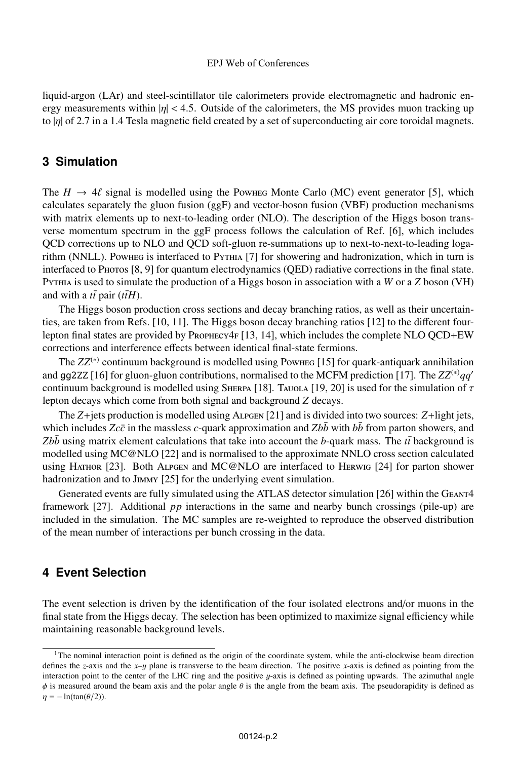liquid-argon (LAr) and steel-scintillator tile calorimeters provide electromagnetic and hadronic energy measurements within  $|\eta| < 4.5$ . Outside of the calorimeters, the MS provides muon tracking up to <sup>|</sup>η<sup>|</sup> of 2.7 in a 1.4 Tesla magnetic field created by a set of superconducting air core toroidal magnets.

## **3 Simulation**

The  $H \to 4\ell$  signal is modelled using the Powheg Monte Carlo (MC) event generator [5], which calculates separately the gluon fusion (ggF) and vector-boson fusion (VBF) production mechanisms calculates separately the gluon fusion (ggF) and vector-boson fusion (VBF) production mechanisms with matrix elements up to next-to-leading order (NLO). The description of the Higgs boson transverse momentum spectrum in the ggF process follows the calculation of Ref. [6], which includes QCD corrections up to NLO and QCD soft-gluon re-summations up to next-to-next-to-leading logarithm (NNLL). Powheg is interfaced to PYTHIA [7] for showering and hadronization, which in turn is interfaced to Photos [8, 9] for quantum electrodynamics (QED) radiative corrections in the final state. <sup>P</sup>ythia is used to simulate the production of a Higgs boson in association with a *<sup>W</sup>* or a *<sup>Z</sup>* boson (VH) and with a  $t\bar{t}$  pair ( $t\bar{t}H$ ).

The Higgs boson production cross sections and decay branching ratios, as well as their uncertainties, are taken from Refs. [10, 11]. The Higgs boson decay branching ratios [12] to the different fourlepton final states are provided by PROPHECY4F [13, 14], which includes the complete NLO QCD+EW corrections and interference effects between identical final-state fermions.

The *ZZ*(∗) continuum background is modelled using Powheg [15] for quark-antiquark annihilation and gg2ZZ [16] for gluon-gluon contributions, normalised to the MCFM prediction [17]. The  $ZZ^{(*)}qq'$ <br>continuum background is modelled using Surpea [18]. Tatiota [19, 20] is used for the simulation of z continuum background is modelled using SHERPA [18]. TAUOLA [19, 20] is used for the simulation of  $τ$ lepton decays which come from both signal and background *Z* decays.

The *Z*+jets production is modelled using ALPGEN [21] and is divided into two sources: *Z*+light jets, which includes *Zcc* in the massless *c*-quark approximation and *Zbb* with  $b\bar{b}$  from parton showers, and Zb $\bar{b}$  using matrix element calculations that take into account the *b*-quark mass. The  $t\bar{t}$  background is modelled using MC@NLO [22] and is normalised to the approximate NNLO cross section calculated using Hathor [23]. Both Alpgen and MC@NLO are interfaced to Herwig [24] for parton shower hadronization and to JIMMY [25] for the underlying event simulation.

Generated events are fully simulated using the ATLAS detector simulation [26] within the Geant<sup>4</sup> framework [27]. Additional *pp* interactions in the same and nearby bunch crossings (pile-up) are included in the simulation. The MC samples are re-weighted to reproduce the observed distribution of the mean number of interactions per bunch crossing in the data.

## **4 Event Selection**

The event selection is driven by the identification of the four isolated electrons and/or muons in the final state from the Higgs decay. The selection has been optimized to maximize signal efficiency while maintaining reasonable background levels.

<sup>&</sup>lt;sup>1</sup>The nominal interaction point is defined as the origin of the coordinate system, while the anti-clockwise beam direction defines the *<sup>z</sup>*-axis and the *<sup>x</sup>*–y plane is transverse to the beam direction. The positive *<sup>x</sup>*-axis is defined as pointing from the interaction point to the center of the LHC ring and the positive  $y$ -axis is defined as pointing upwards. The azimuthal angle  $\phi$  is measured around the beam axis and the polar angle  $\theta$  is the angle from the beam axis. The pseudorapidity is defined as  $\eta = -\ln(\tan(\theta/2)).$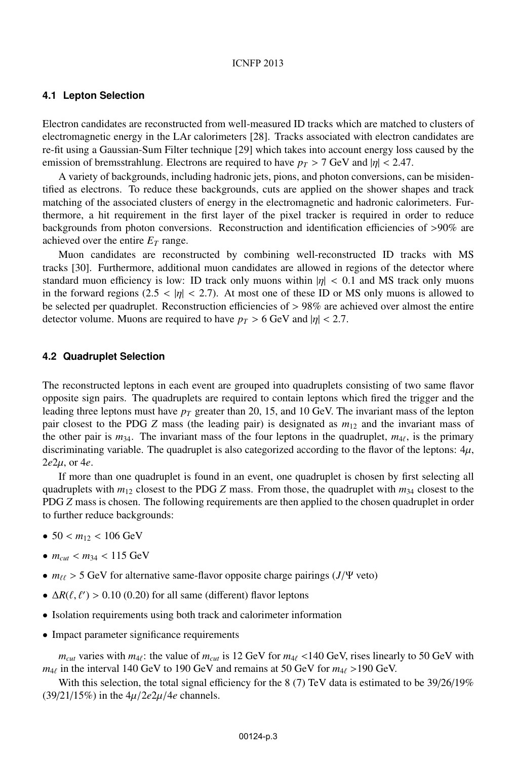### **4.1 Lepton Selection**

Electron candidates are reconstructed from well-measured ID tracks which are matched to clusters of electromagnetic energy in the LAr calorimeters [28]. Tracks associated with electron candidates are re-fit using a Gaussian-Sum Filter technique [29] which takes into account energy loss caused by the emission of bremsstrahlung. Electrons are required to have  $p_T > 7$  GeV and  $|\eta| < 2.47$ .

A variety of backgrounds, including hadronic jets, pions, and photon conversions, can be misidentified as electrons. To reduce these backgrounds, cuts are applied on the shower shapes and track matching of the associated clusters of energy in the electromagnetic and hadronic calorimeters. Furthermore, a hit requirement in the first layer of the pixel tracker is required in order to reduce backgrounds from photon conversions. Reconstruction and identification efficiencies of >90% are achieved over the entire  $E_T$  range.

Muon candidates are reconstructed by combining well-reconstructed ID tracks with MS tracks [30]. Furthermore, additional muon candidates are allowed in regions of the detector where standard muon efficiency is low: ID track only muons within  $|\eta| < 0.1$  and MS track only muons in the forward regions (2.5  $\langle n| \langle 2.7 \rangle$ ). At most one of these ID or MS only muons is allowed to be selected per quadruplet. Reconstruction efficiencies of > 98% are achieved over almost the entire detector volume. Muons are required to have  $p_T > 6$  GeV and  $|\eta| < 2.7$ .

### **4.2 Quadruplet Selection**

The reconstructed leptons in each event are grouped into quadruplets consisting of two same flavor opposite sign pairs. The quadruplets are required to contain leptons which fired the trigger and the leading three leptons must have  $p_T$  greater than 20, 15, and 10 GeV. The invariant mass of the lepton pair closest to the PDG *Z* mass (the leading pair) is designated as *m*<sup>12</sup> and the invariant mass of the other pair is  $m_{34}$ . The invariant mass of the four leptons in the quadruplet,  $m_{4\ell}$ , is the primary discriminating variable. The quadruplet is also actorogized according to the flavor of the leptons: A discriminating variable. The quadruplet is also categorized according to the flavor of the leptons:  $4\mu$ , <sup>2</sup>*e*2μ, or 4*e*.

If more than one quadruplet is found in an event, one quadruplet is chosen by first selecting all quadruplets with  $m_{12}$  closest to the PDG *Z* mass. From those, the quadruplet with  $m_{34}$  closest to the PDG *Z* mass is chosen. The following requirements are then applied to the chosen quadruplet in order to further reduce backgrounds:

- $50 < m_{12} < 106$  GeV
- $m_{cut} < m_{34} < 115 \text{ GeV}$
- $m_{\ell\ell} > 5$  GeV for alternative same-flavor opposite charge pairings ( $J/\Psi$  veto)
- $\Delta R(\ell, \ell') > 0.10$  (0.20) for all same (different) flavor leptons
- Isolation requirements using both track and calorimeter information
- Impact parameter significance requirements

 $m_{cut}$  varies with  $m_{4\ell}$ : the value of  $m_{cut}$  is 12 GeV for  $m_{4\ell}$  <140 GeV, rises linearly to 50 GeV with in the integral 140 GeV to 100 GeV and remains at 50 GeV for  $m_{tot} > 100$  GeV.  $m_{4\ell}$  in the interval 140 GeV to 190 GeV and remains at 50 GeV for  $m_{4\ell} > 190$  GeV.

With this selection, the total signal efficiency for the 8 (7) TeV data is estimated to be 39/26/19% (39/21/15%) in the 4μ/2*e*2μ/4*<sup>e</sup>* channels.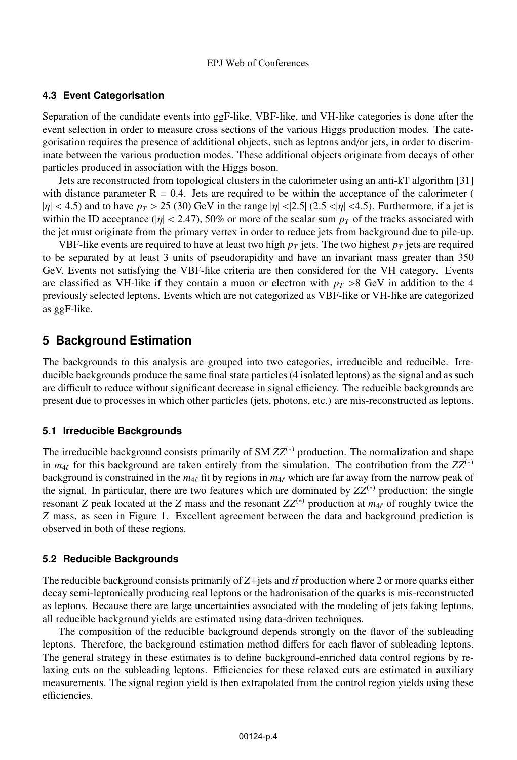### **4.3 Event Categorisation**

Separation of the candidate events into ggF-like, VBF-like, and VH-like categories is done after the event selection in order to measure cross sections of the various Higgs production modes. The categorisation requires the presence of additional objects, such as leptons and/or jets, in order to discriminate between the various production modes. These additional objects originate from decays of other particles produced in association with the Higgs boson.

Jets are reconstructed from topological clusters in the calorimeter using an anti-kT algorithm [31] with distance parameter  $R = 0.4$ . Jets are required to be within the acceptance of the calorimeter (  $|\eta|$  < 4.5) and to have  $p_T > 25$  (30) GeV in the range  $|\eta|$  < |2.5| (2.5 < |n| <4.5). Furthermore, if a jet is within the ID acceptance ( $|\eta|$  < 2.47), 50% or more of the scalar sum  $p<sub>T</sub>$  of the tracks associated with the jet must originate from the primary vertex in order to reduce jets from background due to pile-up.

VBF-like events are required to have at least two high  $p<sub>T</sub>$  jets. The two highest  $p<sub>T</sub>$  jets are required to be separated by at least 3 units of pseudorapidity and have an invariant mass greater than 350 GeV. Events not satisfying the VBF-like criteria are then considered for the VH category. Events are classified as VH-like if they contain a muon or electron with  $p<sub>T</sub> > 8$  GeV in addition to the 4 previously selected leptons. Events which are not categorized as VBF-like or VH-like are categorized as ggF-like.

## **5 Background Estimation**

The backgrounds to this analysis are grouped into two categories, irreducible and reducible. Irreducible backgrounds produce the same final state particles (4 isolated leptons) as the signal and as such are difficult to reduce without significant decrease in signal efficiency. The reducible backgrounds are present due to processes in which other particles (jets, photons, etc.) are mis-reconstructed as leptons.

### **5.1 Irreducible Backgrounds**

The irreducible background consists primarily of SM  $ZZ^{(*)}$  production. The normalization and shape in  $m_{4\ell}$  for this background are taken entirely from the simulation. The contribution from the *ZZ*<sup>(∗)</sup><br>hecloground is constrained in the  $m_{\ell}$ , fit by regions in  $m_{\ell}$ , which are for away from the newspape of oth background is constrained in the  $m_{4\ell}$  fit by regions in  $m_{4\ell}$  which are far away from the narrow peak of the signal. In perticular, there are true fectures which are deminated by  $Z^{(*)}$  production, the signals the signal. In particular, there are two features which are dominated by  $ZZ^{(*)}$  production: the single resonant *Z* peak located at the *Z* mass and the resonant  $ZZ^{(*)}$  production at  $m_{4\ell}$  of roughly twice the *Z* mass as seen in Figure 1. Excellent agreement between the data and hackground production is *Z* mass, as seen in Figure 1. Excellent agreement between the data and background prediction is observed in both of these regions.

### **5.2 Reducible Backgrounds**

The reducible background consists primarily of  $Z+$  jets and  $t\bar{t}$  production where 2 or more quarks either decay semi-leptonically producing real leptons or the hadronisation of the quarks is mis-reconstructed as leptons. Because there are large uncertainties associated with the modeling of jets faking leptons, all reducible background yields are estimated using data-driven techniques.

The composition of the reducible background depends strongly on the flavor of the subleading leptons. Therefore, the background estimation method differs for each flavor of subleading leptons. The general strategy in these estimates is to define background-enriched data control regions by relaxing cuts on the subleading leptons. Efficiencies for these relaxed cuts are estimated in auxiliary measurements. The signal region yield is then extrapolated from the control region yields using these efficiencies.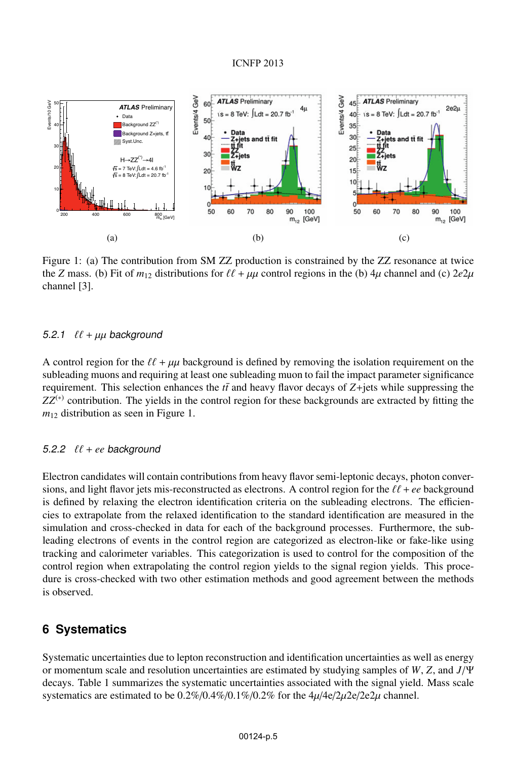

Figure 1: (a) The contribution from SM ZZ production is constrained by the ZZ resonance at twice the *Z* mass. (b) Fit of  $m_{12}$  distributions for  $\ell\ell + \mu\mu$  control regions in the (b)  $4\mu$  channel and (c)  $2e2\mu$ <br>channel [3] channel [3].

## 5.2.1  $\ell\ell + \mu\mu$  background

A control region for the  $\ell\ell + \mu\mu$  background is defined by removing the isolation requirement on the subleading muon to fail the impact parameter significance subleading muons and requiring at least one subleading muon to fail the impact parameter significance requirement. This selection enhances the  $t\bar{t}$  and heavy flavor decays of  $Z +$ jets while suppressing the *ZZ*<sup>(∗)</sup> contribution. The yields in the control region for these backgrounds are extracted by fitting the  $m_{12}$  distribution as seen in Figure 1.

## 5.2.2  $\ell\ell + ee$  background

Electron candidates will contain contributions from heavy flavor semi-leptonic decays, photon conversions, and light flavor jets mis-reconstructed as electrons. A control region for the  $\ell\ell + ee$  background<br>is defined by relaxing the electron identification criteria on the subleading electrons. The efficienis defined by relaxing the electron identification criteria on the subleading electrons. The efficiencies to extrapolate from the relaxed identification to the standard identification are measured in the simulation and cross-checked in data for each of the background processes. Furthermore, the subleading electrons of events in the control region are categorized as electron-like or fake-like using tracking and calorimeter variables. This categorization is used to control for the composition of the control region when extrapolating the control region yields to the signal region yields. This procedure is cross-checked with two other estimation methods and good agreement between the methods is observed.

## **6 Systematics**

Systematic uncertainties due to lepton reconstruction and identification uncertainties as well as energy or momentum scale and resolution uncertainties are estimated by studying samples of *<sup>W</sup>*, *<sup>Z</sup>*, and *<sup>J</sup>*/<sup>Ψ</sup> decays. Table 1 summarizes the systematic uncertainties associated with the signal yield. Mass scale systematics are estimated to be  $0.2\%/0.4\%/0.1\%/0.2\%$  for the  $4\mu/4e/2\mu/2e/2e/2e$  channel.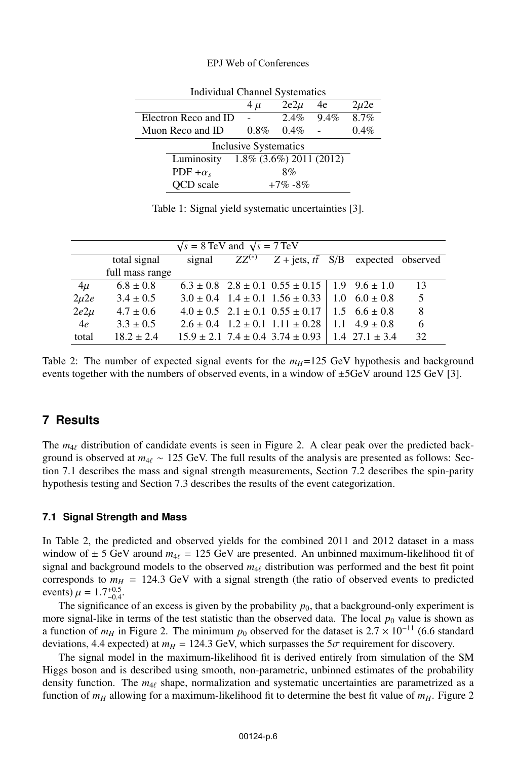| murvidual Channel Dystematics            |         |          |              |           |  |  |  |
|------------------------------------------|---------|----------|--------------|-----------|--|--|--|
|                                          | 4μ      | $2e2\mu$ | 4e           | $2\mu$ 2e |  |  |  |
| Electron Reco and ID                     |         |          | $2.4\%$ 9.4% | 8.7%      |  |  |  |
| Muon Reco and ID                         | $0.8\%$ | $0.4\%$  |              | $0.4\%$   |  |  |  |
| <b>Inclusive Systematics</b>             |         |          |              |           |  |  |  |
| $1.8\%$ (3.6%) 2011 (2012)<br>Luminosity |         |          |              |           |  |  |  |
| PDF + $\alpha$ .<br>8%                   |         |          |              |           |  |  |  |
| OCD scale<br>$+7\% - 8\%$                |         |          |              |           |  |  |  |

Individual Channel Systematics

Table 1: Signal yield systematic uncertainties [3].

| $\sqrt{s}$ = 8 TeV and $\sqrt{s}$ = 7 TeV |                 |        |  |                                                                              |  |                          |    |  |
|-------------------------------------------|-----------------|--------|--|------------------------------------------------------------------------------|--|--------------------------|----|--|
|                                           | total signal    | signal |  | $\overline{ZZ^{(*)}$ $\overline{Z}$ + jets, $t\bar{t}$ S/B expected observed |  |                          |    |  |
|                                           | full mass range |        |  |                                                                              |  |                          |    |  |
| $4\mu$                                    | $6.8 \pm 0.8$   |        |  | $6.3 \pm 0.8$ $2.8 \pm 0.1$ $0.55 \pm 0.15$   1.9 $9.6 \pm 1.0$              |  |                          | 13 |  |
| $2\mu$ 2e                                 | $3.4 \pm 0.5$   |        |  | $3.0 \pm 0.4$ $1.4 \pm 0.1$ $1.56 \pm 0.33$                                  |  | 1.0 $6.0 \pm 0.8$        | 5  |  |
| $2e2\mu$                                  | $4.7 \pm 0.6$   |        |  | $4.0 \pm 0.5$ $2.1 \pm 0.1$ $0.55 \pm 0.17$                                  |  | 1.5 $6.6 \pm 0.8$        | 8  |  |
| 4e                                        | $3.3 \pm 0.5$   |        |  | $2.6 \pm 0.4$ $1.2 \pm 0.1$ $1.11 \pm 0.28$                                  |  | 1.1 $4.9 \pm 0.8$        | 6  |  |
| total                                     | $18.2 \pm 2.4$  |        |  | $15.9 \pm 2.1$ 7.4 $\pm$ 0.4 3.74 $\pm$ 0.93                                 |  | $1.4 \quad 27.1 \pm 3.4$ | 32 |  |

Table 2: The number of expected signal events for the  $m_H$ =125 GeV hypothesis and background events together with the numbers of observed events, in a window of ±5GeV around 125 GeV [3].

## **7 Results**

The  $m_{4\ell}$  distribution of candidate events is seen in Figure 2. A clear peak over the predicted back-<br>crownd is observed at  $m_{\ell} = 125 \text{ GeV}$ . The full results of the englysis are research as follows. See ground is observed at  $m_{4\ell} \sim 125$  GeV. The full results of the analysis are presented as follows: Sec-<br>tion 7.1 describes the mass and signal strength massurements. Section 7.2 describes the spin parity tion 7.1 describes the mass and signal strength measurements, Section 7.2 describes the spin-parity hypothesis testing and Section 7.3 describes the results of the event categorization.

### **7.1 Signal Strength and Mass**

In Table 2, the predicted and observed yields for the combined 2011 and 2012 dataset in a mass window of  $\pm$  5 GeV around  $m_{4\ell}$  = 125 GeV are presented. An unbinned maximum-likelihood fit of the signal and healtenaund models to the charging m<sub>ax</sub> distribution was performed and the heat fit point signal and background models to the observed  $m_{4\ell}$  distribution was performed and the best fit point corresponds to  $m_H$  = 124.3 GeV with a signal strength (the ratio of observed events to predicted events)  $\mu = 1.7^{+0.5}_{-0.4}$ .<br>The significance

The significance of an excess is given by the probability  $p_0$ , that a background-only experiment is more signal-like in terms of the test statistic than the observed data. The local  $p_0$  value is shown as a function of  $m_H$  in Figure 2. The minimum  $p_0$  observed for the dataset is  $2.7 \times 10^{-11}$  (6.6 standard deviations, 4.4 expected) at  $m_H = 124.3$  GeV, which surpasses the  $5\sigma$  requirement for discovery.

The signal model in the maximum-likelihood fit is derived entirely from simulation of the SM Higgs boson and is described using smooth, non-parametric, unbinned estimates of the probability density function. The  $m_{4\ell}$  shape, normalization and systematic uncertainties are parametrized as a function of  $m_{\ell}$  allowing for a maximum likelihood fit to determine the heat fit value of  $m_{\ell}$ . Figure 2 function of  $m_H$  allowing for a maximum-likelihood fit to determine the best fit value of  $m_H$ . Figure 2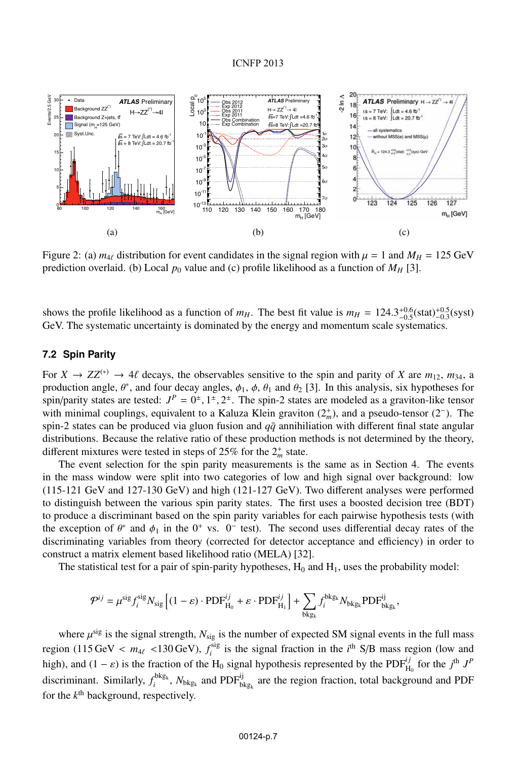

Figure 2: (a)  $m_{4\ell}$  distribution for event candidates in the signal region with  $\mu = 1$  and  $M_H = 125$  GeV prediction overlaid (b) Local  $p_0$  value and (c) profile likelihood as a function of  $M_U$  [3] prediction overlaid. (b) Local  $p_0$  value and (c) profile likelihood as a function of  $M_H$  [3].

shows the profile likelihood as a function of  $m_H$ . The best fit value is  $m_H = 124.3^{+0.6}_{-0.6}$ (stat)<sup>+0.5</sup><sub>0.</sub>  $\sigma$ S<sub>1</sub>.0.5(syst) GeV. The systematic uncertainty is dominated by the energy and momentum scale systematics GeV. The systematic uncertainty is dominated by the energy and momentum scale systematics.

### **7.2 Spin Parity**

For  $X \to ZZ^{(*)} \to 4\ell$  decays, the observables sensitive to the spin and parity of *X* are  $m_{12}$ ,  $m_{34}$ , a production angle  $\theta^*$  and four decay angles  $\phi_1$ ,  $\phi_1$   $\theta_2$ , and  $\theta_2$  [31]. In this analysis, six hypot production angle,  $\theta^*$ , and four decay angles,  $\phi_1$ ,  $\phi$ ,  $\theta_1$  and  $\theta_2$  [3]. In this analysis, six hypotheses for spin/parity states are tested:  $J^P = 0^{\pm}, 1^{\pm}, 2^{\pm}$ . The spin-2 states are modeled as a graviton-like tensor with minimal couplings, equivalent to a Kaluza Klein graviton  $(2<sup>+</sup>)$ , and a pseudo-tensor (2<sup>−</sup>). The spin-2 states can be produced via gluon fusion and  $q\bar{q}$  annihiliation with different final state angular distributions. Because the relative ratio of these production methods is not determined by the theory, different mixtures were tested in steps of  $25\%$  for the  $2<sup>+</sup><sub>m</sub>$  state.

The event selection for the spin parity measurements is the same as in Section 4. The events in the mass window were split into two categories of low and high signal over background: low (115-121 GeV and 127-130 GeV) and high (121-127 GeV). Two different analyses were performed to distinguish between the various spin parity states. The first uses a boosted decision tree (BDT) to produce a discriminant based on the spin parity variables for each pairwise hypothesis tests (with the exception of  $\theta^*$  and  $\phi_1$  in the 0<sup>+</sup> vs. 0<sup>−</sup> test). The second uses differential decay rates of the discriminating variables from theory (corrected for detector acceptance and efficiency) in order to construct a matrix element based likelihood ratio (MELA) [32].

The statistical test for a pair of spin-parity hypotheses,  $H_0$  and  $H_1$ , uses the probability model:

$$
\mathcal{P}^{ij} = \mu^{\text{sig}} f_i^{\text{sig}} N_{\text{sig}} \left[ (1 - \varepsilon) \cdot \text{PDF}_{H_0}^{ij} + \varepsilon \cdot \text{PDF}_{H_1}^{ij} \right] + \sum_{bkg_k} f_i^{bkg_k} N_{bkg_k} \text{PDF}_{bkg_k}^{ij},
$$

where  $\mu^{\text{sig}}$  is the signal strength,  $N_{\text{sig}}$  is the number of expected SM signal events in the full mass region (115 GeV  $\lt m_{4\ell}$   $\lt$  130 GeV),  $f_i^{\text{sig}}$  is the signal fraction in the *i*<sup>th</sup> S/B mass region (low and the channel of the *i*<sup>th</sup> signal fraction of the *i*<sup>th</sup> signal is the *pDF<sup>ij</sup>*, fraction <sup>i</sup><sup>th</sup> *I<sup>P</sup>* high), and  $(1 - \varepsilon)$  is the fraction of the H<sub>0</sub> signal hypothesis represented by the PDF<sup>*ij*</sup><sub>H<sub>0</sub></sub> for the *j*<sup>th</sup> *J<sup><i>P*</sup><sub>H<sub>0</sub></sub> is the *j*<sup>th</sup> *J<sup><i>P*</sup><sub>H<sub>0</sub></sub> is the *j*<sup>th</sup> *J*<sup>*P*</sup><sub>H<sub>0</sub></sub> is the *j*<sup>th</sup> *J*<sup>*P*</sup><sub>H<sub>0</sub></sub> discriminant. Similarly,  $f_i^{bkg_k}$ ,  $N_{bkg_k}$  and  $PDF_{bkg_k}^{ij}$  are the region fraction, total background and PDF for the  $k^{\text{th}}$  background, respectively.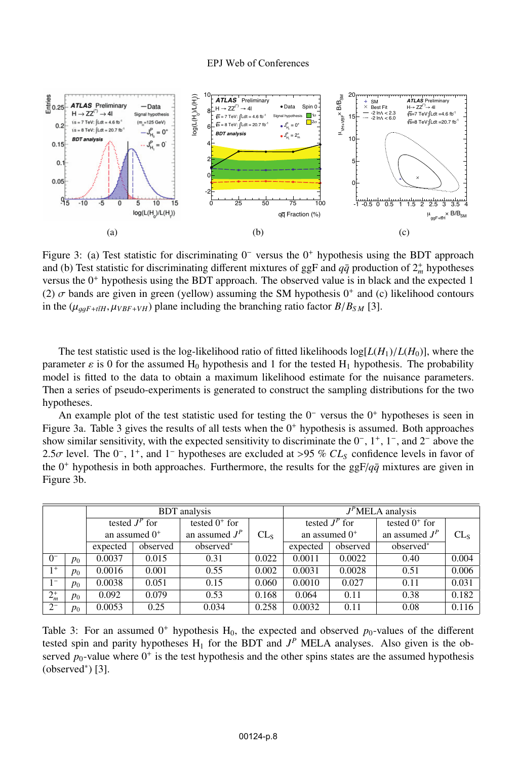

Figure 3: (a) Test statistic for discriminating  $0<sup>-</sup>$  versus the  $0<sup>+</sup>$  hypothesis using the BDT approach and (b) Test statistic for discriminating different mixtures of  $ggF$  and  $q\bar{q}$  production of  $2<sup>+</sup><sub>m</sub>$  hypotheses versus the 0<sup>+</sup> hypothesis using the BDT approach. The observed value is in black and the expected 1 (2)  $\sigma$  bands are given in green (yellow) assuming the SM hypothesis 0<sup>+</sup> and (c) likelihood contours in the  $(\mu_{qqF + t\bar{t}H}, \mu_{VBF + VH})$  plane including the branching ratio factor  $B/B_{SM}$  [3].

The test statistic used is the log-likelihood ratio of fitted likelihoods  $log[L(H_1)/L(H_0)]$ , where the parameter  $\varepsilon$  is 0 for the assumed H<sub>0</sub> hypothesis and 1 for the tested H<sub>1</sub> hypothesis. The probability model is fitted to the data to obtain a maximum likelihood estimate for the nuisance parameters. Then a series of pseudo-experiments is generated to construct the sampling distributions for the two hypotheses.

An example plot of the test statistic used for testing the  $0<sup>-</sup>$  versus the  $0<sup>+</sup>$  hypotheses is seen in Figure 3a. Table 3 gives the results of all tests when the  $0^+$  hypothesis is assumed. Both approaches show similar sensitivity, with the expected sensitivity to discriminate the  $0^-, 1^+, 1^-,$  and  $2^-$  above the 2.5σ level. The 0<sup>-</sup>, 1<sup>+</sup>, and 1<sup>-</sup> hypotheses are excluded at >95 % *CL<sub>S</sub>* confidence levels in favor of the  $0^+$  hypothesis in both approaches. Furthermore, the results for the  $ggF/q\bar{q}$  mixtures are given in Figure 3b.

|         |       |          |                  | <b>BDT</b> analysis   | $\overline{J^P\text{MELA}}$ analysis |                  |          |                       |                 |
|---------|-------|----------|------------------|-----------------------|--------------------------------------|------------------|----------|-----------------------|-----------------|
|         |       |          | tested $J^P$ for | tested $0^+$ for      |                                      | tested $J^P$ for |          | tested $0^+$ for      |                 |
|         |       |          | an assumed $0^+$ | an assumed $J^P$      | CL <sub>s</sub>                      | an assumed $0^+$ |          | an assumed $J^P$      | CL <sub>s</sub> |
|         |       | expected | observed         | observed <sup>*</sup> |                                      | expected         | observed | observed <sup>*</sup> |                 |
| $0^{-}$ | $p_0$ | 0.0037   | 0.015            | 0.31                  | 0.022                                | 0.0011           | 0.0022   | 0.40                  | 0.004           |
| $1^+$   | $p_0$ | 0.0016   | 0.001            | 0.55                  | 0.002                                | 0.0031           | 0.0028   | 0.51                  | 0.006           |
| $1^{-}$ | $p_0$ | 0.0038   | 0.051            | 0.15                  | 0.060                                | 0.0010           | 0.027    | 0.11                  | 0.031           |
| $2_m^+$ | $p_0$ | 0.092    | 0.079            | 0.53                  | 0.168                                | 0.064            | 0.11     | 0.38                  | 0.182           |
| $2^{-}$ | $p_0$ | 0.0053   | 0.25             | 0.034                 | 0.258                                | 0.0032           | 0.11     | 0.08                  | 0.116           |

Table 3: For an assumed  $0^+$  hypothesis H<sub>0</sub>, the expected and observed  $p_0$ -values of the different tested spin and parity hypotheses  $H_1$  for the BDT and  $J^P$  MELA analyses. Also given is the observed  $p_0$ -value where  $0^+$  is the test hypothesis and the other spins states are the assumed hypothesis (observed∗) [3].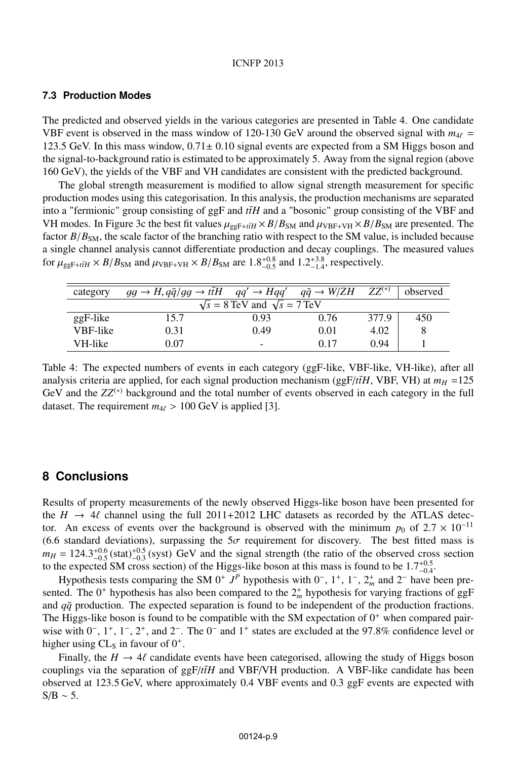### **7.3 Production Modes**

The predicted and observed yields in the various categories are presented in Table 4. One candidate VBF event is observed in the mass window of 120-130 GeV around the observed signal with  $m_{4\ell}$  = 123.5 GeV. In this mass window 0.71+0.10 signal gyarts are avasated from a SM Higgs become and 123.5 GeV. In this mass window,  $0.71 \pm 0.10$  signal events are expected from a SM Higgs boson and the signal-to-background ratio is estimated to be approximately 5. Away from the signal region (above 160 GeV), the yields of the VBF and VH candidates are consistent with the predicted background.

The global strength measurement is modified to allow signal strength measurement for specific production modes using this categorisation. In this analysis, the production mechanisms are separated into a "fermionic" group consisting of ggF and *t* $\overline{t}H$  and a "bosonic" group consisting of the VBF and VH modes. In Figure 3c the best fit values  $\mu_{\text{geF}+t\bar{t}H} \times B/B_{\text{SM}}$  and  $\mu_{\text{VBF}+\text{VH}} \times B/B_{\text{SM}}$  are presented. The factor  $B/B<sub>SM</sub>$ , the scale factor of the branching ratio with respect to the SM value, is included because a single channel analysis cannot differentiate production and decay couplings. The measured values for  $\mu_{ggF+i\bar{t}H} \times B/B_{SM}$  and  $\mu_{VBF+VH} \times B/B_{SM}$  are 1.8<sup>+0.8</sup> and 1.2<sup>+3.8</sup>, respectively.

| category                                  | $gg \to H, q\bar{q}/gg \to t\bar{t}H$ |      | $qq' \rightarrow Hqq'$ $q\bar{q} \rightarrow W/ZH$ $ZZ^{(*)}$ |       | observed |  |  |  |  |
|-------------------------------------------|---------------------------------------|------|---------------------------------------------------------------|-------|----------|--|--|--|--|
| $\sqrt{s}$ = 8 TeV and $\sqrt{s}$ = 7 TeV |                                       |      |                                                               |       |          |  |  |  |  |
| ggF-like                                  | 15.7                                  | 0.93 | 0.76                                                          | 377.9 | 450      |  |  |  |  |
| VBF-like                                  | 0.31                                  | 0.49 | 0.01                                                          | 4.02  | 8        |  |  |  |  |
| VH-like                                   | 0.07                                  |      | 0.17                                                          | 0.94  |          |  |  |  |  |

Table 4: The expected numbers of events in each category (ggF-like, VBF-like, VH-like), after all analysis criteria are applied, for each signal production mechanism ( $ggF/t\bar{t}H$ , VBF, VH) at  $m_H$  =125 GeV and the  $ZZ^{(*)}$  background and the total number of events observed in each category in the full dataset. The requirement  $m_{4\ell} > 100 \text{ GeV}$  is applied [3].

## **8 Conclusions**

Results of property measurements of the newly observed Higgs-like boson have been presented for the  $H \to 4\ell$  channel using the full 2011+2012 LHC datasets as recorded by the ATLAS detector. An excess of events over the background is observed with the minimum  $p_0$  of  $2.7 \times 10^{-11}$ tor. An excess of events over the background is observed with the minimum  $p_0$  of  $2.7 \times 10^{-11}$ (6.6 standard deviations), surpassing the  $5\sigma$  requirement for discovery. The best fitted mass is  $m_H = 124.3^{+0.6}_{-0.5}$  (stat)<sup>+0.5</sup> (syst) GeV and the signal strength (the ratio of the observed cross section<br>to the expected SM cross section) of the Higgs-like boson at this mass is found to be 1.7<sup>+0.5</sup> to the expected SM cross section) of the Higgs-like boson at this mass is found to be  $1.7^{+0.5}_{-0.4}$ .<br>Hypothesis tests comparing the SM 0<sup>+</sup>  $I^P$  hypothesis with 0<sup>-</sup> 1<sup>+</sup> 1<sup>-</sup> 2<sup>+</sup> and 2<sup>-</sup> have

Hypothesis tests comparing the SM  $0^+$  *J<sup>P</sup>* hypothesis with  $0^-$ ,  $1^+$ ,  $1^-$ ,  $2^+_m$  and  $2^-$  have been presented. The  $0^+$  hypothesis has also been compared to the  $2^+_m$  hypothesis for varying fractions of ggF and  $q\bar{q}$  production. The expected separation is found to be independent of the production fractions. The Higgs-like boson is found to be compatible with the SM expectation of  $0^+$  when compared pairwise with 0−, 1<sup>+</sup>, 1−, 2<sup>+</sup>, and 2−. The 0<sup>−</sup> and 1<sup>+</sup> states are excluded at the 97.8% confidence level or higher using  $CL<sub>S</sub>$  in favour of  $0<sup>+</sup>$ .

Finally, the  $H \to 4\ell$  candidate events have been categorised, allowing the study of Higgs boson<br>plings via the separation of gaE/t*H* and VBE/VH production. A VBE-like candidate has been couplings via the separation of  $ggF/t\bar{t}H$  and VBF/VH production. A VBF-like candidate has been observed at 123.5 GeV, where approximately 0.4 VBF events and 0.3 ggF events are expected with  $S/B \sim 5$ .